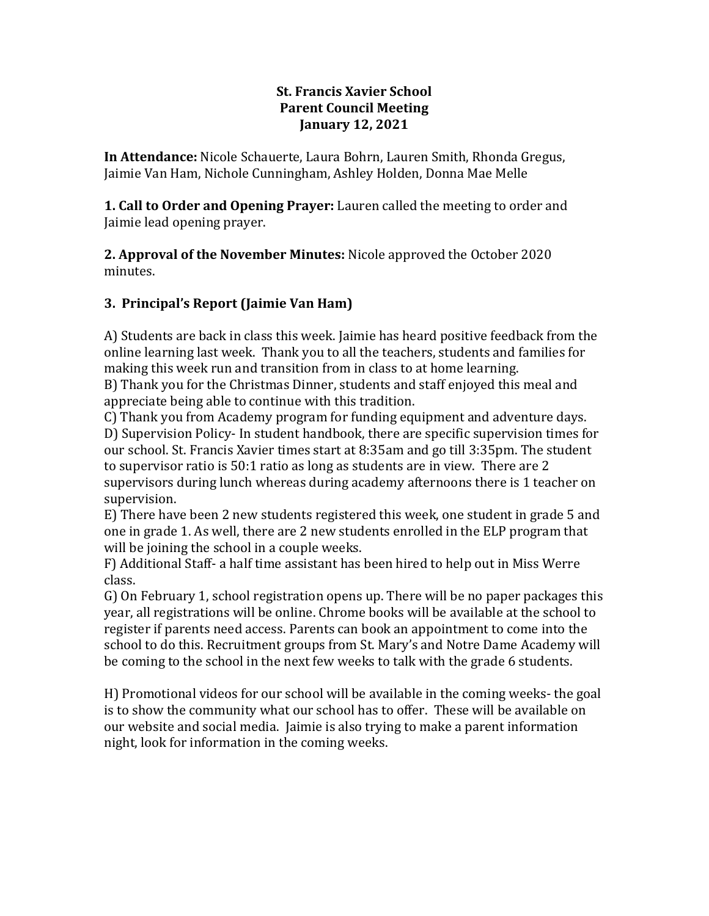## **St. Francis Xavier School Parent Council Meeting January 12, 2021**

**In Attendance:** Nicole Schauerte, Laura Bohrn, Lauren Smith, Rhonda Gregus, Jaimie Van Ham, Nichole Cunningham, Ashley Holden, Donna Mae Melle

**1. Call to Order and Opening Prayer:** Lauren called the meeting to order and Jaimie lead opening prayer.

**2. Approval of the November Minutes:** Nicole approved the October 2020 minutes.

# **3. Principal's Report (Jaimie Van Ham)**

A) Students are back in class this week. Jaimie has heard positive feedback from the online learning last week. Thank you to all the teachers, students and families for making this week run and transition from in class to at home learning.

B) Thank you for the Christmas Dinner, students and staff enjoyed this meal and appreciate being able to continue with this tradition.

C) Thank you from Academy program for funding equipment and adventure days.

D) Supervision Policy- In student handbook, there are specific supervision times for our school. St. Francis Xavier times start at 8:35am and go till 3:35pm. The student to supervisor ratio is 50:1 ratio as long as students are in view. There are 2 supervisors during lunch whereas during academy afternoons there is 1 teacher on supervision.

E) There have been 2 new students registered this week, one student in grade 5 and one in grade 1. As well, there are 2 new students enrolled in the ELP program that will be joining the school in a couple weeks.

F) Additional Staff- a half time assistant has been hired to help out in Miss Werre class.

G) On February 1, school registration opens up. There will be no paper packages this year, all registrations will be online. Chrome books will be available at the school to register if parents need access. Parents can book an appointment to come into the school to do this. Recruitment groups from St. Mary's and Notre Dame Academy will be coming to the school in the next few weeks to talk with the grade 6 students.

H) Promotional videos for our school will be available in the coming weeks- the goal is to show the community what our school has to offer. These will be available on our website and social media. Jaimie is also trying to make a parent information night, look for information in the coming weeks.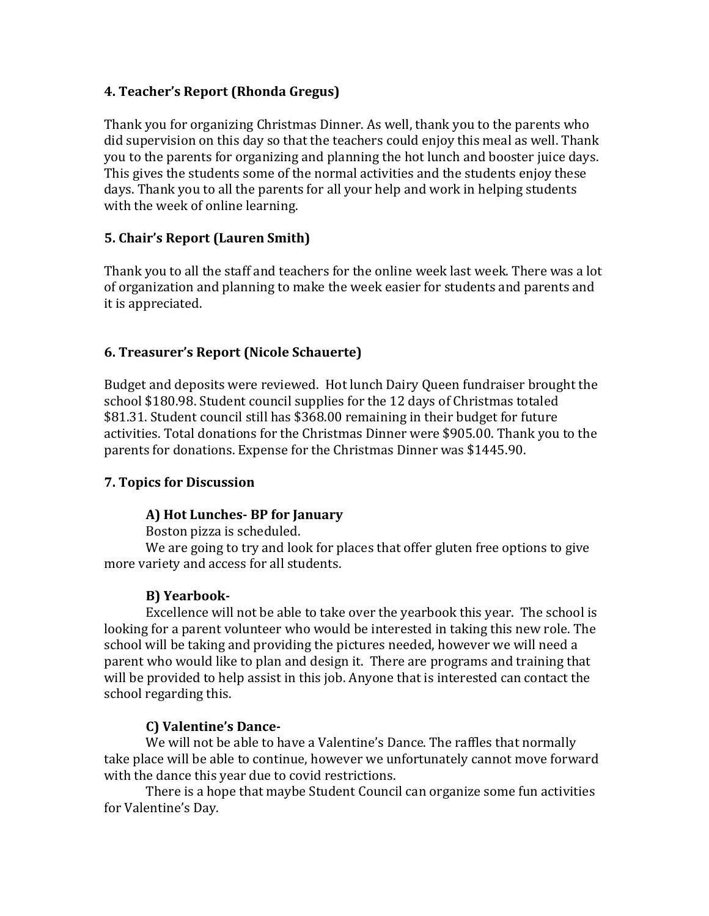## **4. Teacher's Report (Rhonda Gregus)**

Thank you for organizing Christmas Dinner. As well, thank you to the parents who did supervision on this day so that the teachers could enjoy this meal as well. Thank you to the parents for organizing and planning the hot lunch and booster juice days. This gives the students some of the normal activities and the students enjoy these days. Thank you to all the parents for all your help and work in helping students with the week of online learning.

# **5. Chair's Report (Lauren Smith)**

Thank you to all the staff and teachers for the online week last week. There was a lot of organization and planning to make the week easier for students and parents and it is appreciated.

## **6. Treasurer's Report (Nicole Schauerte)**

Budget and deposits were reviewed. Hot lunch Dairy Queen fundraiser brought the school \$180.98. Student council supplies for the 12 days of Christmas totaled \$81.31. Student council still has \$368.00 remaining in their budget for future activities. Total donations for the Christmas Dinner were \$905.00. Thank you to the parents for donations. Expense for the Christmas Dinner was \$1445.90.

## **7. Topics for Discussion**

## **A) Hot Lunches- BP for January**

Boston pizza is scheduled.

We are going to try and look for places that offer gluten free options to give more variety and access for all students.

## **B) Yearbook-**

Excellence will not be able to take over the yearbook this year. The school is looking for a parent volunteer who would be interested in taking this new role. The school will be taking and providing the pictures needed, however we will need a parent who would like to plan and design it. There are programs and training that will be provided to help assist in this job. Anyone that is interested can contact the school regarding this.

## **C) Valentine's Dance-**

We will not be able to have a Valentine's Dance. The raffles that normally take place will be able to continue, however we unfortunately cannot move forward with the dance this year due to covid restrictions.

There is a hope that maybe Student Council can organize some fun activities for Valentine's Day.